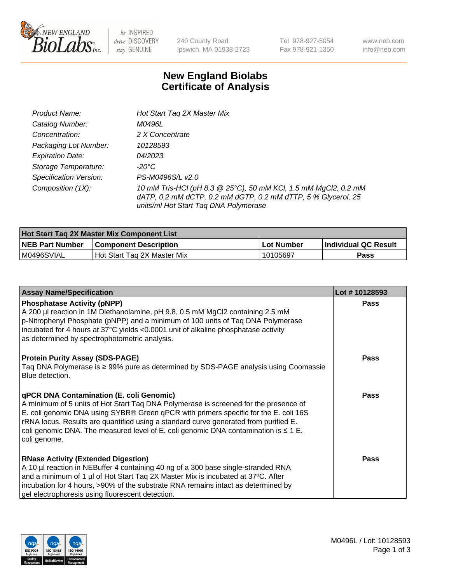

 $be$  INSPIRED drive DISCOVERY stay GENUINE

240 County Road Ipswich, MA 01938-2723 Tel 978-927-5054 Fax 978-921-1350 www.neb.com info@neb.com

## **New England Biolabs Certificate of Analysis**

| Product Name:           | Hot Start Tag 2X Master Mix                                                                                                                                               |
|-------------------------|---------------------------------------------------------------------------------------------------------------------------------------------------------------------------|
| Catalog Number:         | M0496L                                                                                                                                                                    |
| Concentration:          | 2 X Concentrate                                                                                                                                                           |
| Packaging Lot Number:   | 10128593                                                                                                                                                                  |
| <b>Expiration Date:</b> | 04/2023                                                                                                                                                                   |
| Storage Temperature:    | -20°C                                                                                                                                                                     |
| Specification Version:  | PS-M0496S/L v2.0                                                                                                                                                          |
| Composition (1X):       | 10 mM Tris-HCl (pH 8.3 @ 25°C), 50 mM KCl, 1.5 mM MgCl2, 0.2 mM<br>dATP, 0.2 mM dCTP, 0.2 mM dGTP, 0.2 mM dTTP, 5 % Glycerol, 25<br>units/ml Hot Start Taq DNA Polymerase |

| Hot Start Tag 2X Master Mix Component List |                              |            |                      |  |  |
|--------------------------------------------|------------------------------|------------|----------------------|--|--|
| <b>NEB Part Number</b>                     | <b>Component Description</b> | Lot Number | Individual QC Result |  |  |
| M0496SVIAL                                 | Hot Start Tag 2X Master Mix  | 10105697   | Pass                 |  |  |

| <b>Assay Name/Specification</b>                                                                                                                                                                                                                                                                                                                                                                                                     | Lot #10128593 |
|-------------------------------------------------------------------------------------------------------------------------------------------------------------------------------------------------------------------------------------------------------------------------------------------------------------------------------------------------------------------------------------------------------------------------------------|---------------|
| <b>Phosphatase Activity (pNPP)</b><br>A 200 µl reaction in 1M Diethanolamine, pH 9.8, 0.5 mM MgCl2 containing 2.5 mM<br>p-Nitrophenyl Phosphate (pNPP) and a minimum of 100 units of Taq DNA Polymerase<br>incubated for 4 hours at 37°C yields <0.0001 unit of alkaline phosphatase activity<br>as determined by spectrophotometric analysis.                                                                                      | <b>Pass</b>   |
| <b>Protein Purity Assay (SDS-PAGE)</b><br>Taq DNA Polymerase is ≥ 99% pure as determined by SDS-PAGE analysis using Coomassie<br>Blue detection.                                                                                                                                                                                                                                                                                    | <b>Pass</b>   |
| <b>qPCR DNA Contamination (E. coli Genomic)</b><br>A minimum of 5 units of Hot Start Tag DNA Polymerase is screened for the presence of<br>E. coli genomic DNA using SYBR® Green qPCR with primers specific for the E. coli 16S<br>rRNA locus. Results are quantified using a standard curve generated from purified E.<br>coli genomic DNA. The measured level of E. coli genomic DNA contamination is $\leq 1$ E.<br>coli genome. | Pass          |
| <b>RNase Activity (Extended Digestion)</b><br>A 10 µl reaction in NEBuffer 4 containing 40 ng of a 300 base single-stranded RNA<br>and a minimum of 1 µl of Hot Start Taq 2X Master Mix is incubated at 37°C. After<br>incubation for 4 hours, >90% of the substrate RNA remains intact as determined by<br>gel electrophoresis using fluorescent detection.                                                                        | <b>Pass</b>   |

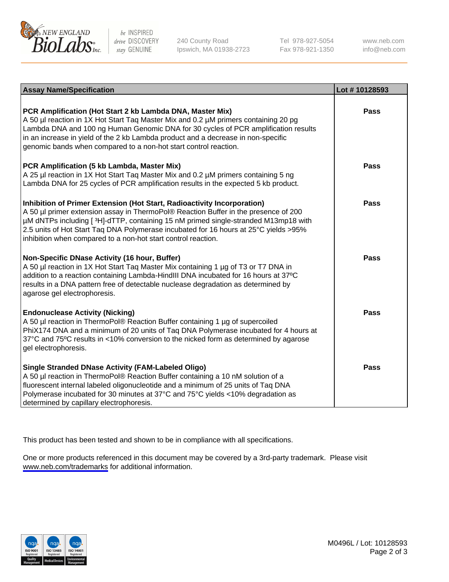

be INSPIRED drive DISCOVERY stay GENUINE

240 County Road Ipswich, MA 01938-2723 Tel 978-927-5054 Fax 978-921-1350

www.neb.com info@neb.com

| <b>Assay Name/Specification</b>                                                                                                                                                                                                                                                                                                                                                                               | Lot #10128593 |
|---------------------------------------------------------------------------------------------------------------------------------------------------------------------------------------------------------------------------------------------------------------------------------------------------------------------------------------------------------------------------------------------------------------|---------------|
| PCR Amplification (Hot Start 2 kb Lambda DNA, Master Mix)<br>A 50 µl reaction in 1X Hot Start Taq Master Mix and 0.2 µM primers containing 20 pg<br>Lambda DNA and 100 ng Human Genomic DNA for 30 cycles of PCR amplification results<br>in an increase in yield of the 2 kb Lambda product and a decrease in non-specific<br>genomic bands when compared to a non-hot start control reaction.               | <b>Pass</b>   |
| PCR Amplification (5 kb Lambda, Master Mix)<br>A 25 µl reaction in 1X Hot Start Tag Master Mix and 0.2 µM primers containing 5 ng<br>Lambda DNA for 25 cycles of PCR amplification results in the expected 5 kb product.                                                                                                                                                                                      | <b>Pass</b>   |
| Inhibition of Primer Extension (Hot Start, Radioactivity Incorporation)<br>A 50 µl primer extension assay in ThermoPol® Reaction Buffer in the presence of 200<br>µM dNTPs including [3H]-dTTP, containing 15 nM primed single-stranded M13mp18 with<br>2.5 units of Hot Start Taq DNA Polymerase incubated for 16 hours at 25°C yields >95%<br>inhibition when compared to a non-hot start control reaction. | <b>Pass</b>   |
| Non-Specific DNase Activity (16 hour, Buffer)<br>A 50 µl reaction in 1X Hot Start Taq Master Mix containing 1 µg of T3 or T7 DNA in<br>addition to a reaction containing Lambda-HindIII DNA incubated for 16 hours at 37°C<br>results in a DNA pattern free of detectable nuclease degradation as determined by<br>agarose gel electrophoresis.                                                               | <b>Pass</b>   |
| <b>Endonuclease Activity (Nicking)</b><br>A 50 µl reaction in ThermoPol® Reaction Buffer containing 1 µg of supercoiled<br>PhiX174 DNA and a minimum of 20 units of Taq DNA Polymerase incubated for 4 hours at<br>37°C and 75°C results in <10% conversion to the nicked form as determined by agarose<br>gel electrophoresis.                                                                               | <b>Pass</b>   |
| <b>Single Stranded DNase Activity (FAM-Labeled Oligo)</b><br>A 50 µl reaction in ThermoPol® Reaction Buffer containing a 10 nM solution of a<br>fluorescent internal labeled oligonucleotide and a minimum of 25 units of Taq DNA<br>Polymerase incubated for 30 minutes at 37°C and 75°C yields <10% degradation as<br>determined by capillary electrophoresis.                                              | Pass          |

This product has been tested and shown to be in compliance with all specifications.

One or more products referenced in this document may be covered by a 3rd-party trademark. Please visit <www.neb.com/trademarks>for additional information.